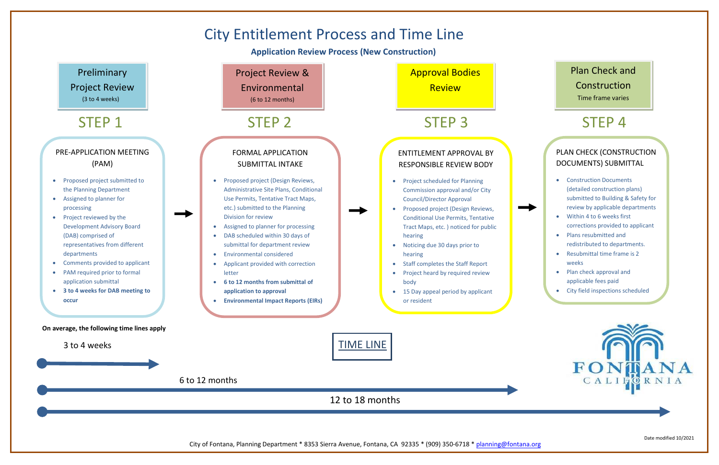Date modified 10/2021

## PLAN CHECK (CONSTRUCTION DOCUMENTS) SUBMITTAL

- Construction Documents (detailed construction plans) submitted to Building & Safety for review by applicable departments
- Within 4 to 6 weeks first corrections provided to applicant
- Plans resubmitted and redistributed to departments.
- Resubmittal time frame is 2 weeks
- Plan check approval and applicable fees paid
- City field inspections scheduled • Certificate of Occupancy (C of O)





**Application Review Process (New Construction)**



## Plan Check and

Construction

Time frame varies